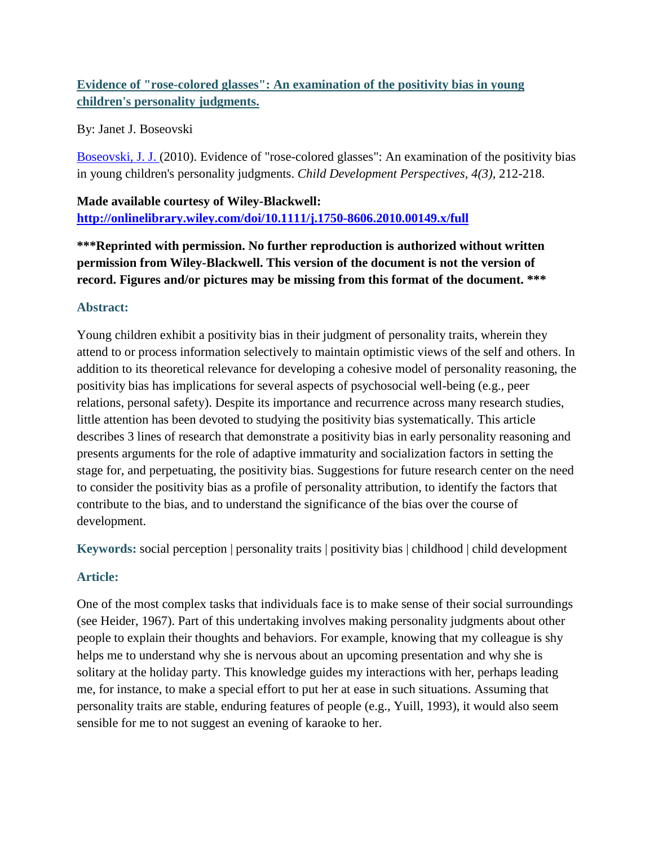# **Evidence of "rose-colored glasses": An examination of the positivity bias in young children's personality judgments.**

## By: Janet J. Boseovski

[Boseovski, J. J.](http://libres.uncg.edu/ir/uncg/clist.aspx?id=146) (2010). Evidence of "rose-colored glasses": An examination of the positivity bias in young children's personality judgments. *Child Development Perspectives, 4(3),* 212-218.

**Made available courtesy of Wiley-Blackwell: <http://onlinelibrary.wiley.com/doi/10.1111/j.1750-8606.2010.00149.x/full>**

**\*\*\*Reprinted with permission. No further reproduction is authorized without written permission from Wiley-Blackwell. This version of the document is not the version of record. Figures and/or pictures may be missing from this format of the document. \*\*\***

## **Abstract:**

Young children exhibit a positivity bias in their judgment of personality traits, wherein they attend to or process information selectively to maintain optimistic views of the self and others. In addition to its theoretical relevance for developing a cohesive model of personality reasoning, the positivity bias has implications for several aspects of psychosocial well-being (e.g., peer relations, personal safety). Despite its importance and recurrence across many research studies, little attention has been devoted to studying the positivity bias systematically. This article describes 3 lines of research that demonstrate a positivity bias in early personality reasoning and presents arguments for the role of adaptive immaturity and socialization factors in setting the stage for, and perpetuating, the positivity bias. Suggestions for future research center on the need to consider the positivity bias as a profile of personality attribution, to identify the factors that contribute to the bias, and to understand the significance of the bias over the course of development.

**Keywords:** social perception | personality traits | positivity bias | childhood | child development

# **Article:**

One of the most complex tasks that individuals face is to make sense of their social surroundings (see Heider, 1967). Part of this undertaking involves making personality judgments about other people to explain their thoughts and behaviors. For example, knowing that my colleague is shy helps me to understand why she is nervous about an upcoming presentation and why she is solitary at the holiday party. This knowledge guides my interactions with her, perhaps leading me, for instance, to make a special effort to put her at ease in such situations. Assuming that personality traits are stable, enduring features of people (e.g., Yuill, 1993), it would also seem sensible for me to not suggest an evening of karaoke to her.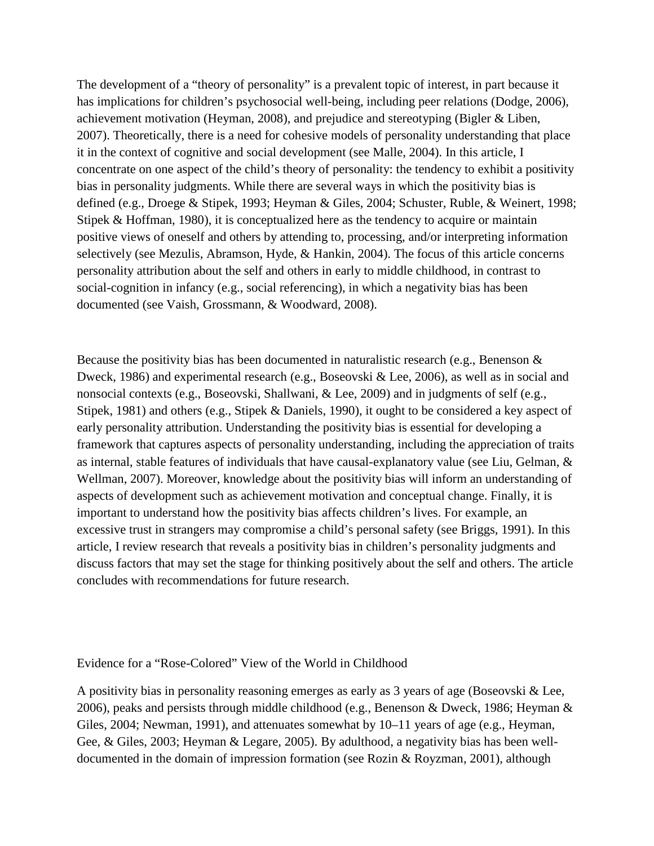The development of a "theory of personality" is a prevalent topic of interest, in part because it has implications for children's psychosocial well-being, including peer relations (Dodge, 2006), achievement motivation (Heyman, 2008), and prejudice and stereotyping (Bigler & Liben, 2007). Theoretically, there is a need for cohesive models of personality understanding that place it in the context of cognitive and social development (see Malle, 2004). In this article, I concentrate on one aspect of the child's theory of personality: the tendency to exhibit a positivity bias in personality judgments. While there are several ways in which the positivity bias is defined (e.g., Droege & Stipek, 1993; Heyman & Giles, 2004; Schuster, Ruble, & Weinert, 1998; Stipek & Hoffman, 1980), it is conceptualized here as the tendency to acquire or maintain positive views of oneself and others by attending to, processing, and/or interpreting information selectively (see Mezulis, Abramson, Hyde, & Hankin, 2004). The focus of this article concerns personality attribution about the self and others in early to middle childhood, in contrast to social-cognition in infancy (e.g., social referencing), in which a negativity bias has been documented (see Vaish, Grossmann, & Woodward, 2008).

Because the positivity bias has been documented in naturalistic research (e.g., Benenson  $\&$ Dweck, 1986) and experimental research (e.g., Boseovski & Lee, 2006), as well as in social and nonsocial contexts (e.g., Boseovski, Shallwani, & Lee, 2009) and in judgments of self (e.g., Stipek, 1981) and others (e.g., Stipek & Daniels, 1990), it ought to be considered a key aspect of early personality attribution. Understanding the positivity bias is essential for developing a framework that captures aspects of personality understanding, including the appreciation of traits as internal, stable features of individuals that have causal-explanatory value (see Liu, Gelman, & Wellman, 2007). Moreover, knowledge about the positivity bias will inform an understanding of aspects of development such as achievement motivation and conceptual change. Finally, it is important to understand how the positivity bias affects children's lives. For example, an excessive trust in strangers may compromise a child's personal safety (see Briggs, 1991). In this article, I review research that reveals a positivity bias in children's personality judgments and discuss factors that may set the stage for thinking positively about the self and others. The article concludes with recommendations for future research.

#### Evidence for a "Rose-Colored" View of the World in Childhood

A positivity bias in personality reasoning emerges as early as 3 years of age (Boseovski & Lee, 2006), peaks and persists through middle childhood (e.g., Benenson & Dweck, 1986; Heyman & Giles, 2004; Newman, 1991), and attenuates somewhat by 10–11 years of age (e.g., Heyman, Gee, & Giles, 2003; Heyman & Legare, 2005). By adulthood, a negativity bias has been welldocumented in the domain of impression formation (see Rozin & Royzman, 2001), although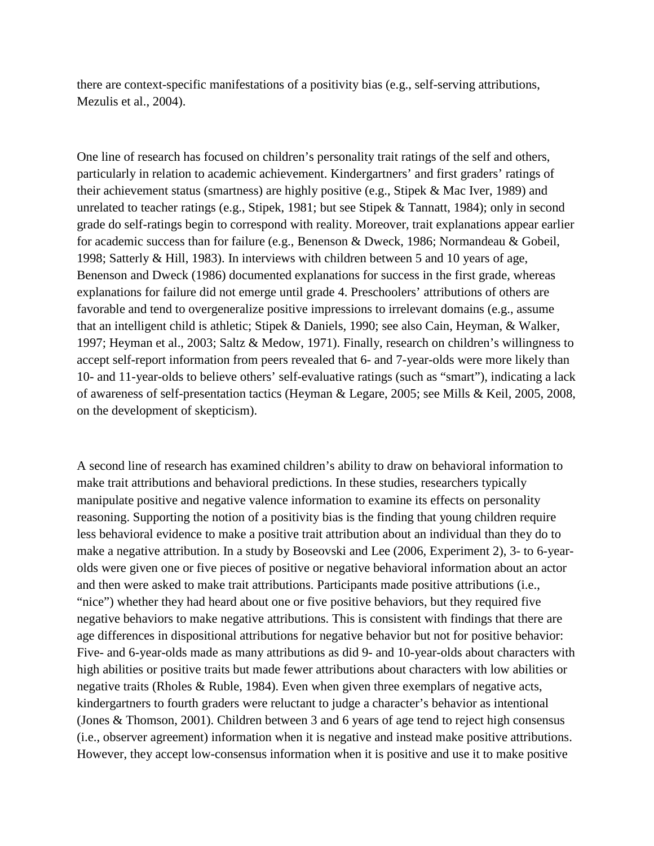there are context-specific manifestations of a positivity bias (e.g., self-serving attributions, Mezulis et al., 2004).

One line of research has focused on children's personality trait ratings of the self and others, particularly in relation to academic achievement. Kindergartners' and first graders' ratings of their achievement status (smartness) are highly positive (e.g., Stipek & Mac Iver, 1989) and unrelated to teacher ratings (e.g., Stipek, 1981; but see Stipek & Tannatt, 1984); only in second grade do self-ratings begin to correspond with reality. Moreover, trait explanations appear earlier for academic success than for failure (e.g., Benenson & Dweck, 1986; Normandeau & Gobeil, 1998; Satterly & Hill, 1983). In interviews with children between 5 and 10 years of age, Benenson and Dweck (1986) documented explanations for success in the first grade, whereas explanations for failure did not emerge until grade 4. Preschoolers' attributions of others are favorable and tend to overgeneralize positive impressions to irrelevant domains (e.g., assume that an intelligent child is athletic; Stipek & Daniels, 1990; see also Cain, Heyman, & Walker, 1997; Heyman et al., 2003; Saltz & Medow, 1971). Finally, research on children's willingness to accept self-report information from peers revealed that 6- and 7-year-olds were more likely than 10- and 11-year-olds to believe others' self-evaluative ratings (such as "smart"), indicating a lack of awareness of self-presentation tactics (Heyman & Legare, 2005; see Mills & Keil, 2005, 2008, on the development of skepticism).

A second line of research has examined children's ability to draw on behavioral information to make trait attributions and behavioral predictions. In these studies, researchers typically manipulate positive and negative valence information to examine its effects on personality reasoning. Supporting the notion of a positivity bias is the finding that young children require less behavioral evidence to make a positive trait attribution about an individual than they do to make a negative attribution. In a study by Boseovski and Lee (2006, Experiment 2), 3- to 6-yearolds were given one or five pieces of positive or negative behavioral information about an actor and then were asked to make trait attributions. Participants made positive attributions (i.e., "nice") whether they had heard about one or five positive behaviors, but they required five negative behaviors to make negative attributions. This is consistent with findings that there are age differences in dispositional attributions for negative behavior but not for positive behavior: Five- and 6-year-olds made as many attributions as did 9- and 10-year-olds about characters with high abilities or positive traits but made fewer attributions about characters with low abilities or negative traits (Rholes & Ruble, 1984). Even when given three exemplars of negative acts, kindergartners to fourth graders were reluctant to judge a character's behavior as intentional (Jones & Thomson, 2001). Children between 3 and 6 years of age tend to reject high consensus (i.e., observer agreement) information when it is negative and instead make positive attributions. However, they accept low-consensus information when it is positive and use it to make positive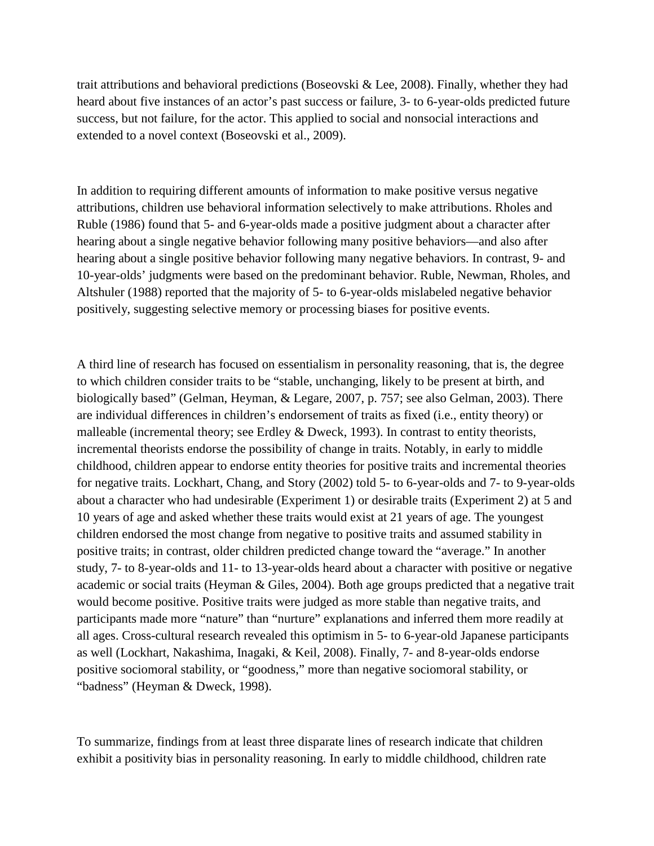trait attributions and behavioral predictions (Boseovski & Lee, 2008). Finally, whether they had heard about five instances of an actor's past success or failure, 3- to 6-year-olds predicted future success, but not failure, for the actor. This applied to social and nonsocial interactions and extended to a novel context (Boseovski et al., 2009).

In addition to requiring different amounts of information to make positive versus negative attributions, children use behavioral information selectively to make attributions. Rholes and Ruble (1986) found that 5- and 6-year-olds made a positive judgment about a character after hearing about a single negative behavior following many positive behaviors—and also after hearing about a single positive behavior following many negative behaviors. In contrast, 9- and 10-year-olds' judgments were based on the predominant behavior. Ruble, Newman, Rholes, and Altshuler (1988) reported that the majority of 5- to 6-year-olds mislabeled negative behavior positively, suggesting selective memory or processing biases for positive events.

A third line of research has focused on essentialism in personality reasoning, that is, the degree to which children consider traits to be "stable, unchanging, likely to be present at birth, and biologically based" (Gelman, Heyman, & Legare, 2007, p. 757; see also Gelman, 2003). There are individual differences in children's endorsement of traits as fixed (i.e., entity theory) or malleable (incremental theory; see Erdley & Dweck, 1993). In contrast to entity theorists, incremental theorists endorse the possibility of change in traits. Notably, in early to middle childhood, children appear to endorse entity theories for positive traits and incremental theories for negative traits. Lockhart, Chang, and Story (2002) told 5- to 6-year-olds and 7- to 9-year-olds about a character who had undesirable (Experiment 1) or desirable traits (Experiment 2) at 5 and 10 years of age and asked whether these traits would exist at 21 years of age. The youngest children endorsed the most change from negative to positive traits and assumed stability in positive traits; in contrast, older children predicted change toward the "average." In another study, 7- to 8-year-olds and 11- to 13-year-olds heard about a character with positive or negative academic or social traits (Heyman & Giles, 2004). Both age groups predicted that a negative trait would become positive. Positive traits were judged as more stable than negative traits, and participants made more "nature" than "nurture" explanations and inferred them more readily at all ages. Cross-cultural research revealed this optimism in 5- to 6-year-old Japanese participants as well (Lockhart, Nakashima, Inagaki, & Keil, 2008). Finally, 7- and 8-year-olds endorse positive sociomoral stability, or "goodness," more than negative sociomoral stability, or "badness" (Heyman & Dweck, 1998).

To summarize, findings from at least three disparate lines of research indicate that children exhibit a positivity bias in personality reasoning. In early to middle childhood, children rate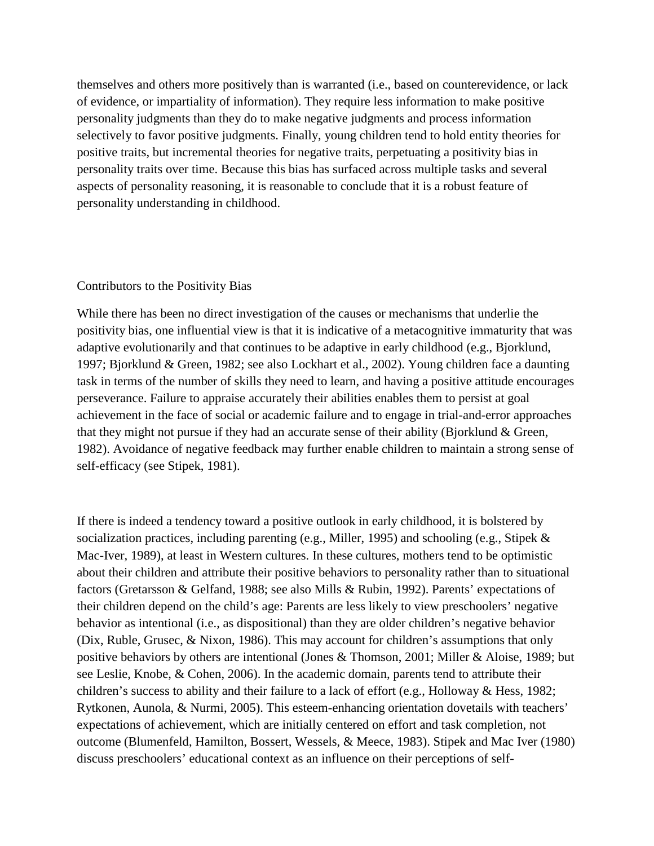themselves and others more positively than is warranted (i.e., based on counterevidence, or lack of evidence, or impartiality of information). They require less information to make positive personality judgments than they do to make negative judgments and process information selectively to favor positive judgments. Finally, young children tend to hold entity theories for positive traits, but incremental theories for negative traits, perpetuating a positivity bias in personality traits over time. Because this bias has surfaced across multiple tasks and several aspects of personality reasoning, it is reasonable to conclude that it is a robust feature of personality understanding in childhood.

### Contributors to the Positivity Bias

While there has been no direct investigation of the causes or mechanisms that underlie the positivity bias, one influential view is that it is indicative of a metacognitive immaturity that was adaptive evolutionarily and that continues to be adaptive in early childhood (e.g., Bjorklund, 1997; Bjorklund & Green, 1982; see also Lockhart et al., 2002). Young children face a daunting task in terms of the number of skills they need to learn, and having a positive attitude encourages perseverance. Failure to appraise accurately their abilities enables them to persist at goal achievement in the face of social or academic failure and to engage in trial-and-error approaches that they might not pursue if they had an accurate sense of their ability (Bjorklund & Green, 1982). Avoidance of negative feedback may further enable children to maintain a strong sense of self-efficacy (see Stipek, 1981).

If there is indeed a tendency toward a positive outlook in early childhood, it is bolstered by socialization practices, including parenting (e.g., Miller, 1995) and schooling (e.g., Stipek & Mac-Iver, 1989), at least in Western cultures. In these cultures, mothers tend to be optimistic about their children and attribute their positive behaviors to personality rather than to situational factors (Gretarsson & Gelfand, 1988; see also Mills & Rubin, 1992). Parents' expectations of their children depend on the child's age: Parents are less likely to view preschoolers' negative behavior as intentional (i.e., as dispositional) than they are older children's negative behavior (Dix, Ruble, Grusec, & Nixon, 1986). This may account for children's assumptions that only positive behaviors by others are intentional (Jones & Thomson, 2001; Miller & Aloise, 1989; but see Leslie, Knobe, & Cohen, 2006). In the academic domain, parents tend to attribute their children's success to ability and their failure to a lack of effort (e.g., Holloway & Hess, 1982; Rytkonen, Aunola, & Nurmi, 2005). This esteem-enhancing orientation dovetails with teachers' expectations of achievement, which are initially centered on effort and task completion, not outcome (Blumenfeld, Hamilton, Bossert, Wessels, & Meece, 1983). Stipek and Mac Iver (1980) discuss preschoolers' educational context as an influence on their perceptions of self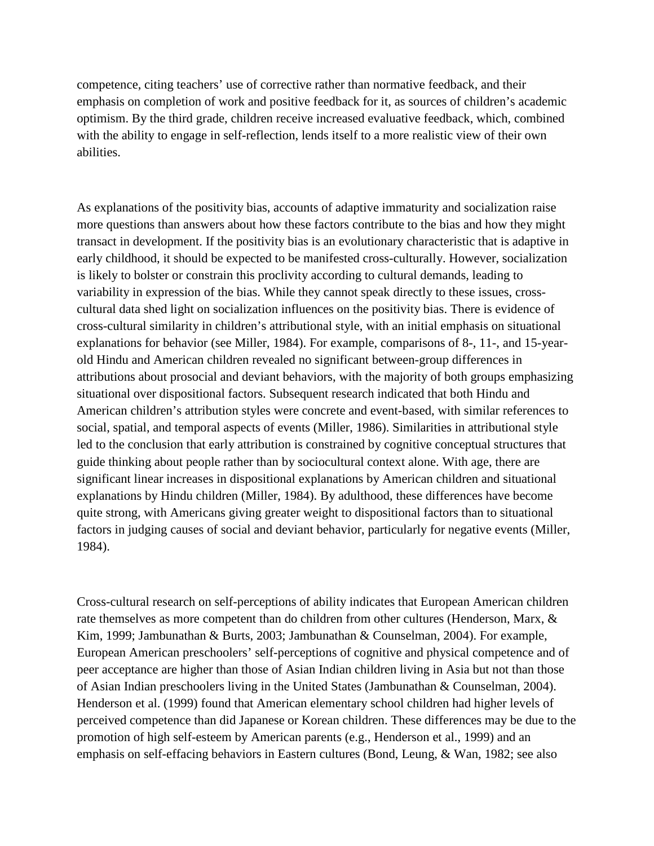competence, citing teachers' use of corrective rather than normative feedback, and their emphasis on completion of work and positive feedback for it, as sources of children's academic optimism. By the third grade, children receive increased evaluative feedback, which, combined with the ability to engage in self-reflection, lends itself to a more realistic view of their own abilities.

As explanations of the positivity bias, accounts of adaptive immaturity and socialization raise more questions than answers about how these factors contribute to the bias and how they might transact in development. If the positivity bias is an evolutionary characteristic that is adaptive in early childhood, it should be expected to be manifested cross-culturally. However, socialization is likely to bolster or constrain this proclivity according to cultural demands, leading to variability in expression of the bias. While they cannot speak directly to these issues, crosscultural data shed light on socialization influences on the positivity bias. There is evidence of cross-cultural similarity in children's attributional style, with an initial emphasis on situational explanations for behavior (see Miller, 1984). For example, comparisons of 8-, 11-, and 15-yearold Hindu and American children revealed no significant between-group differences in attributions about prosocial and deviant behaviors, with the majority of both groups emphasizing situational over dispositional factors. Subsequent research indicated that both Hindu and American children's attribution styles were concrete and event-based, with similar references to social, spatial, and temporal aspects of events (Miller, 1986). Similarities in attributional style led to the conclusion that early attribution is constrained by cognitive conceptual structures that guide thinking about people rather than by sociocultural context alone. With age, there are significant linear increases in dispositional explanations by American children and situational explanations by Hindu children (Miller, 1984). By adulthood, these differences have become quite strong, with Americans giving greater weight to dispositional factors than to situational factors in judging causes of social and deviant behavior, particularly for negative events (Miller, 1984).

Cross-cultural research on self-perceptions of ability indicates that European American children rate themselves as more competent than do children from other cultures (Henderson, Marx, & Kim, 1999; Jambunathan & Burts, 2003; Jambunathan & Counselman, 2004). For example, European American preschoolers' self-perceptions of cognitive and physical competence and of peer acceptance are higher than those of Asian Indian children living in Asia but not than those of Asian Indian preschoolers living in the United States (Jambunathan & Counselman, 2004). Henderson et al. (1999) found that American elementary school children had higher levels of perceived competence than did Japanese or Korean children. These differences may be due to the promotion of high self-esteem by American parents (e.g., Henderson et al., 1999) and an emphasis on self-effacing behaviors in Eastern cultures (Bond, Leung, & Wan, 1982; see also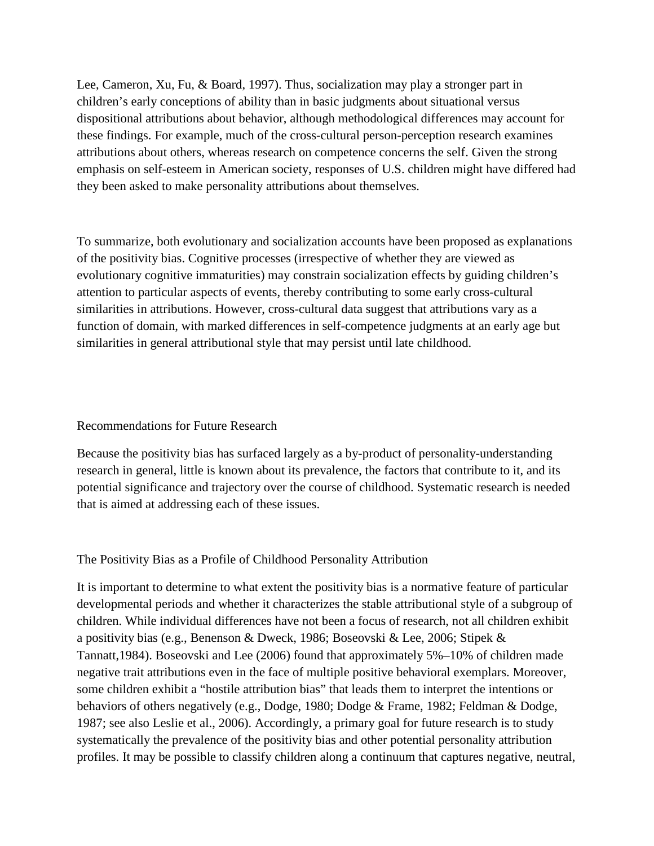Lee, Cameron, Xu, Fu, & Board, 1997). Thus, socialization may play a stronger part in children's early conceptions of ability than in basic judgments about situational versus dispositional attributions about behavior, although methodological differences may account for these findings. For example, much of the cross-cultural person-perception research examines attributions about others, whereas research on competence concerns the self. Given the strong emphasis on self-esteem in American society, responses of U.S. children might have differed had they been asked to make personality attributions about themselves.

To summarize, both evolutionary and socialization accounts have been proposed as explanations of the positivity bias. Cognitive processes (irrespective of whether they are viewed as evolutionary cognitive immaturities) may constrain socialization effects by guiding children's attention to particular aspects of events, thereby contributing to some early cross-cultural similarities in attributions. However, cross-cultural data suggest that attributions vary as a function of domain, with marked differences in self-competence judgments at an early age but similarities in general attributional style that may persist until late childhood.

### Recommendations for Future Research

Because the positivity bias has surfaced largely as a by-product of personality-understanding research in general, little is known about its prevalence, the factors that contribute to it, and its potential significance and trajectory over the course of childhood. Systematic research is needed that is aimed at addressing each of these issues.

#### The Positivity Bias as a Profile of Childhood Personality Attribution

It is important to determine to what extent the positivity bias is a normative feature of particular developmental periods and whether it characterizes the stable attributional style of a subgroup of children. While individual differences have not been a focus of research, not all children exhibit a positivity bias (e.g., Benenson & Dweck, 1986; Boseovski & Lee, 2006; Stipek & Tannatt,1984). Boseovski and Lee (2006) found that approximately 5%–10% of children made negative trait attributions even in the face of multiple positive behavioral exemplars. Moreover, some children exhibit a "hostile attribution bias" that leads them to interpret the intentions or behaviors of others negatively (e.g., Dodge, 1980; Dodge & Frame, 1982; Feldman & Dodge, 1987; see also Leslie et al., 2006). Accordingly, a primary goal for future research is to study systematically the prevalence of the positivity bias and other potential personality attribution profiles. It may be possible to classify children along a continuum that captures negative, neutral,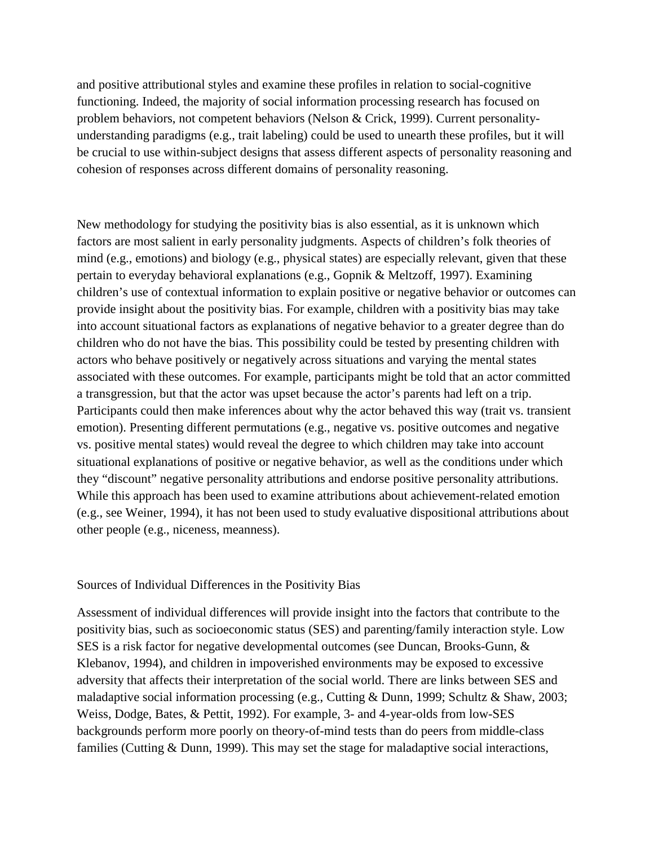and positive attributional styles and examine these profiles in relation to social-cognitive functioning. Indeed, the majority of social information processing research has focused on problem behaviors, not competent behaviors (Nelson & Crick, 1999). Current personalityunderstanding paradigms (e.g., trait labeling) could be used to unearth these profiles, but it will be crucial to use within-subject designs that assess different aspects of personality reasoning and cohesion of responses across different domains of personality reasoning.

New methodology for studying the positivity bias is also essential, as it is unknown which factors are most salient in early personality judgments. Aspects of children's folk theories of mind (e.g., emotions) and biology (e.g., physical states) are especially relevant, given that these pertain to everyday behavioral explanations (e.g., Gopnik & Meltzoff, 1997). Examining children's use of contextual information to explain positive or negative behavior or outcomes can provide insight about the positivity bias. For example, children with a positivity bias may take into account situational factors as explanations of negative behavior to a greater degree than do children who do not have the bias. This possibility could be tested by presenting children with actors who behave positively or negatively across situations and varying the mental states associated with these outcomes. For example, participants might be told that an actor committed a transgression, but that the actor was upset because the actor's parents had left on a trip. Participants could then make inferences about why the actor behaved this way (trait vs. transient emotion). Presenting different permutations (e.g., negative vs. positive outcomes and negative vs. positive mental states) would reveal the degree to which children may take into account situational explanations of positive or negative behavior, as well as the conditions under which they "discount" negative personality attributions and endorse positive personality attributions. While this approach has been used to examine attributions about achievement-related emotion (e.g., see Weiner, 1994), it has not been used to study evaluative dispositional attributions about other people (e.g., niceness, meanness).

### Sources of Individual Differences in the Positivity Bias

Assessment of individual differences will provide insight into the factors that contribute to the positivity bias, such as socioeconomic status (SES) and parenting/family interaction style. Low SES is a risk factor for negative developmental outcomes (see Duncan, Brooks-Gunn, & Klebanov, 1994), and children in impoverished environments may be exposed to excessive adversity that affects their interpretation of the social world. There are links between SES and maladaptive social information processing (e.g., Cutting & Dunn, 1999; Schultz & Shaw, 2003; Weiss, Dodge, Bates, & Pettit, 1992). For example, 3- and 4-year-olds from low-SES backgrounds perform more poorly on theory-of-mind tests than do peers from middle-class families (Cutting & Dunn, 1999). This may set the stage for maladaptive social interactions,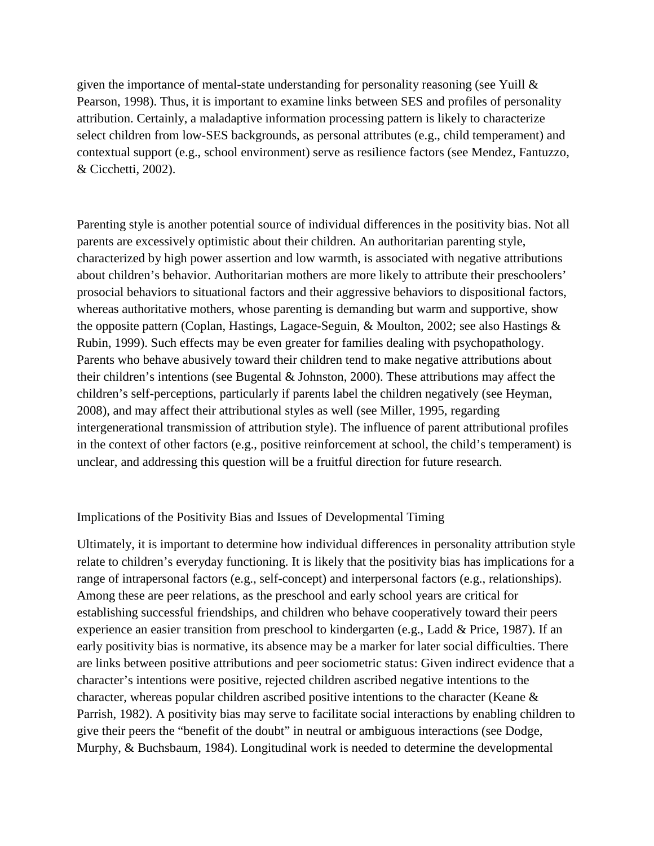given the importance of mental-state understanding for personality reasoning (see Yuill  $\&$ Pearson, 1998). Thus, it is important to examine links between SES and profiles of personality attribution. Certainly, a maladaptive information processing pattern is likely to characterize select children from low-SES backgrounds, as personal attributes (e.g., child temperament) and contextual support (e.g., school environment) serve as resilience factors (see Mendez, Fantuzzo, & Cicchetti, 2002).

Parenting style is another potential source of individual differences in the positivity bias. Not all parents are excessively optimistic about their children. An authoritarian parenting style, characterized by high power assertion and low warmth, is associated with negative attributions about children's behavior. Authoritarian mothers are more likely to attribute their preschoolers' prosocial behaviors to situational factors and their aggressive behaviors to dispositional factors, whereas authoritative mothers, whose parenting is demanding but warm and supportive, show the opposite pattern (Coplan, Hastings, Lagace-Seguin, & Moulton, 2002; see also Hastings & Rubin, 1999). Such effects may be even greater for families dealing with psychopathology. Parents who behave abusively toward their children tend to make negative attributions about their children's intentions (see Bugental & Johnston, 2000). These attributions may affect the children's self-perceptions, particularly if parents label the children negatively (see Heyman, 2008), and may affect their attributional styles as well (see Miller, 1995, regarding intergenerational transmission of attribution style). The influence of parent attributional profiles in the context of other factors (e.g., positive reinforcement at school, the child's temperament) is unclear, and addressing this question will be a fruitful direction for future research.

### Implications of the Positivity Bias and Issues of Developmental Timing

Ultimately, it is important to determine how individual differences in personality attribution style relate to children's everyday functioning. It is likely that the positivity bias has implications for a range of intrapersonal factors (e.g., self-concept) and interpersonal factors (e.g., relationships). Among these are peer relations, as the preschool and early school years are critical for establishing successful friendships, and children who behave cooperatively toward their peers experience an easier transition from preschool to kindergarten (e.g., Ladd & Price, 1987). If an early positivity bias is normative, its absence may be a marker for later social difficulties. There are links between positive attributions and peer sociometric status: Given indirect evidence that a character's intentions were positive, rejected children ascribed negative intentions to the character, whereas popular children ascribed positive intentions to the character (Keane & Parrish, 1982). A positivity bias may serve to facilitate social interactions by enabling children to give their peers the "benefit of the doubt" in neutral or ambiguous interactions (see Dodge, Murphy, & Buchsbaum, 1984). Longitudinal work is needed to determine the developmental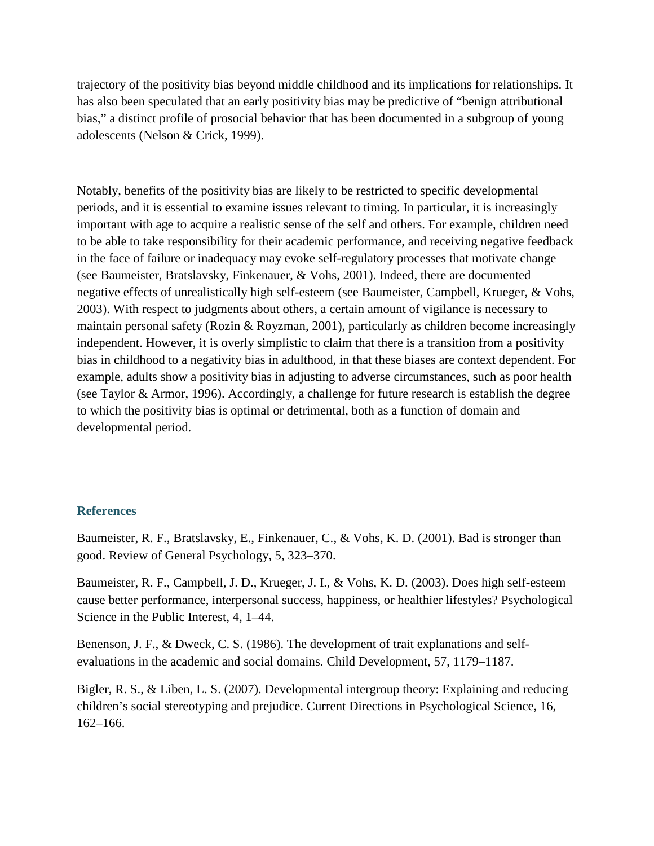trajectory of the positivity bias beyond middle childhood and its implications for relationships. It has also been speculated that an early positivity bias may be predictive of "benign attributional bias," a distinct profile of prosocial behavior that has been documented in a subgroup of young adolescents (Nelson & Crick, 1999).

Notably, benefits of the positivity bias are likely to be restricted to specific developmental periods, and it is essential to examine issues relevant to timing. In particular, it is increasingly important with age to acquire a realistic sense of the self and others. For example, children need to be able to take responsibility for their academic performance, and receiving negative feedback in the face of failure or inadequacy may evoke self-regulatory processes that motivate change (see Baumeister, Bratslavsky, Finkenauer, & Vohs, 2001). Indeed, there are documented negative effects of unrealistically high self-esteem (see Baumeister, Campbell, Krueger, & Vohs, 2003). With respect to judgments about others, a certain amount of vigilance is necessary to maintain personal safety (Rozin & Royzman, 2001), particularly as children become increasingly independent. However, it is overly simplistic to claim that there is a transition from a positivity bias in childhood to a negativity bias in adulthood, in that these biases are context dependent. For example, adults show a positivity bias in adjusting to adverse circumstances, such as poor health (see Taylor & Armor, 1996). Accordingly, a challenge for future research is establish the degree to which the positivity bias is optimal or detrimental, both as a function of domain and developmental period.

### **References**

Baumeister, R. F., Bratslavsky, E., Finkenauer, C., & Vohs, K. D. (2001). Bad is stronger than good. Review of General Psychology, 5, 323–370.

Baumeister, R. F., Campbell, J. D., Krueger, J. I., & Vohs, K. D. (2003). Does high self-esteem cause better performance, interpersonal success, happiness, or healthier lifestyles? Psychological Science in the Public Interest, 4, 1–44.

Benenson, J. F., & Dweck, C. S. (1986). The development of trait explanations and selfevaluations in the academic and social domains. Child Development, 57, 1179–1187.

Bigler, R. S., & Liben, L. S. (2007). Developmental intergroup theory: Explaining and reducing children's social stereotyping and prejudice. Current Directions in Psychological Science, 16, 162–166.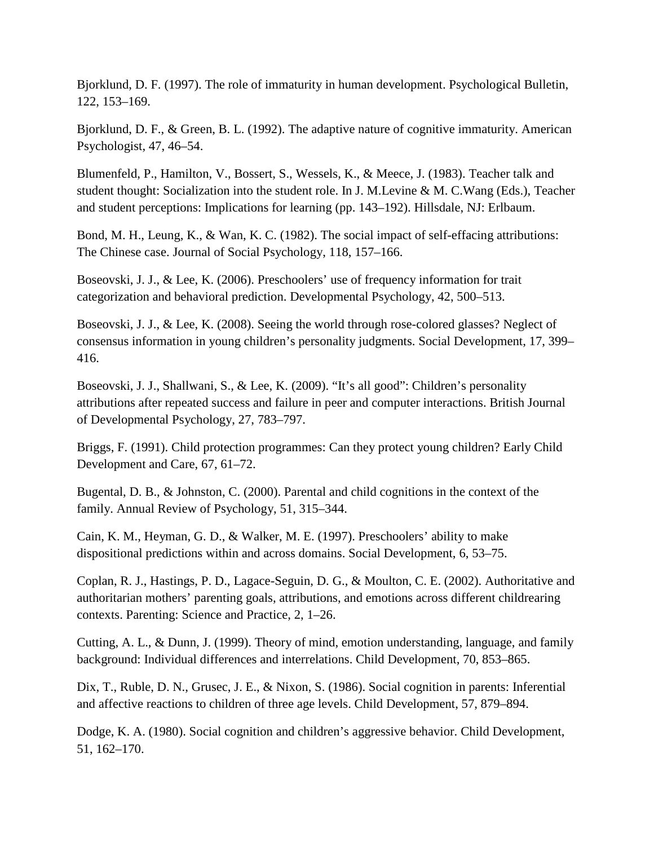Bjorklund, D. F. (1997). The role of immaturity in human development. Psychological Bulletin, 122, 153–169.

Bjorklund, D. F., & Green, B. L. (1992). The adaptive nature of cognitive immaturity. American Psychologist, 47, 46–54.

Blumenfeld, P., Hamilton, V., Bossert, S., Wessels, K., & Meece, J. (1983). Teacher talk and student thought: Socialization into the student role. In J. M.Levine & M. C.Wang (Eds.), Teacher and student perceptions: Implications for learning (pp. 143–192). Hillsdale, NJ: Erlbaum.

Bond, M. H., Leung, K., & Wan, K. C. (1982). The social impact of self-effacing attributions: The Chinese case. Journal of Social Psychology, 118, 157–166.

Boseovski, J. J., & Lee, K. (2006). Preschoolers' use of frequency information for trait categorization and behavioral prediction. Developmental Psychology, 42, 500–513.

Boseovski, J. J., & Lee, K. (2008). Seeing the world through rose-colored glasses? Neglect of consensus information in young children's personality judgments. Social Development, 17, 399– 416.

Boseovski, J. J., Shallwani, S., & Lee, K. (2009). "It's all good": Children's personality attributions after repeated success and failure in peer and computer interactions. British Journal of Developmental Psychology, 27, 783–797.

Briggs, F. (1991). Child protection programmes: Can they protect young children? Early Child Development and Care, 67, 61–72.

Bugental, D. B., & Johnston, C. (2000). Parental and child cognitions in the context of the family. Annual Review of Psychology, 51, 315–344.

Cain, K. M., Heyman, G. D., & Walker, M. E. (1997). Preschoolers' ability to make dispositional predictions within and across domains. Social Development, 6, 53–75.

Coplan, R. J., Hastings, P. D., Lagace-Seguin, D. G., & Moulton, C. E. (2002). Authoritative and authoritarian mothers' parenting goals, attributions, and emotions across different childrearing contexts. Parenting: Science and Practice, 2, 1–26.

Cutting, A. L., & Dunn, J. (1999). Theory of mind, emotion understanding, language, and family background: Individual differences and interrelations. Child Development, 70, 853–865.

Dix, T., Ruble, D. N., Grusec, J. E., & Nixon, S. (1986). Social cognition in parents: Inferential and affective reactions to children of three age levels. Child Development, 57, 879–894.

Dodge, K. A. (1980). Social cognition and children's aggressive behavior. Child Development, 51, 162–170.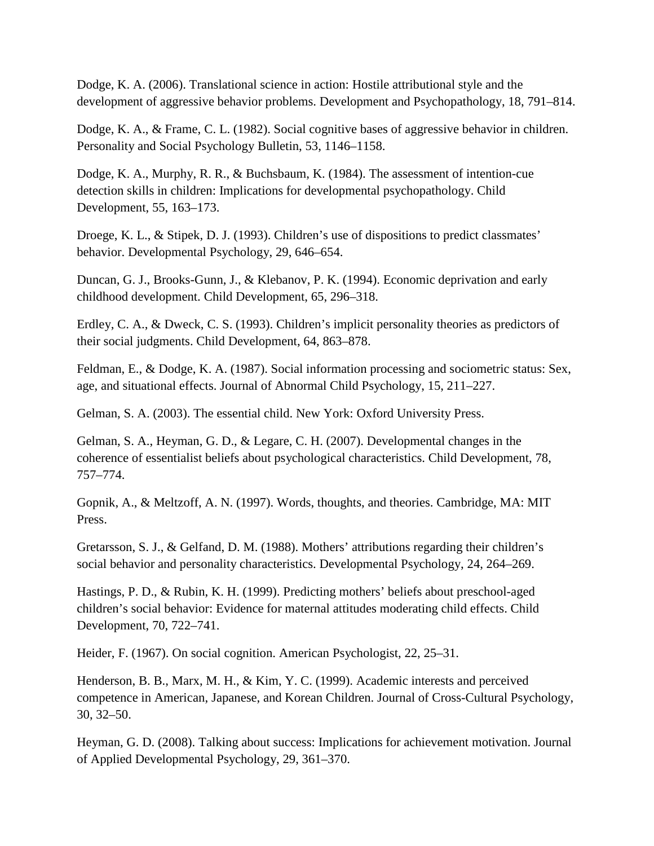Dodge, K. A. (2006). Translational science in action: Hostile attributional style and the development of aggressive behavior problems. Development and Psychopathology, 18, 791–814.

Dodge, K. A., & Frame, C. L. (1982). Social cognitive bases of aggressive behavior in children. Personality and Social Psychology Bulletin, 53, 1146–1158.

Dodge, K. A., Murphy, R. R., & Buchsbaum, K. (1984). The assessment of intention-cue detection skills in children: Implications for developmental psychopathology. Child Development, 55, 163–173.

Droege, K. L., & Stipek, D. J. (1993). Children's use of dispositions to predict classmates' behavior. Developmental Psychology, 29, 646–654.

Duncan, G. J., Brooks-Gunn, J., & Klebanov, P. K. (1994). Economic deprivation and early childhood development. Child Development, 65, 296–318.

Erdley, C. A., & Dweck, C. S. (1993). Children's implicit personality theories as predictors of their social judgments. Child Development, 64, 863–878.

Feldman, E., & Dodge, K. A. (1987). Social information processing and sociometric status: Sex, age, and situational effects. Journal of Abnormal Child Psychology, 15, 211–227.

Gelman, S. A. (2003). The essential child. New York: Oxford University Press.

Gelman, S. A., Heyman, G. D., & Legare, C. H. (2007). Developmental changes in the coherence of essentialist beliefs about psychological characteristics. Child Development, 78, 757–774.

Gopnik, A., & Meltzoff, A. N. (1997). Words, thoughts, and theories. Cambridge, MA: MIT Press.

Gretarsson, S. J., & Gelfand, D. M. (1988). Mothers' attributions regarding their children's social behavior and personality characteristics. Developmental Psychology, 24, 264–269.

Hastings, P. D., & Rubin, K. H. (1999). Predicting mothers' beliefs about preschool-aged children's social behavior: Evidence for maternal attitudes moderating child effects. Child Development, 70, 722–741.

Heider, F. (1967). On social cognition. American Psychologist, 22, 25–31.

Henderson, B. B., Marx, M. H., & Kim, Y. C. (1999). Academic interests and perceived competence in American, Japanese, and Korean Children. Journal of Cross-Cultural Psychology, 30, 32–50.

Heyman, G. D. (2008). Talking about success: Implications for achievement motivation. Journal of Applied Developmental Psychology, 29, 361–370.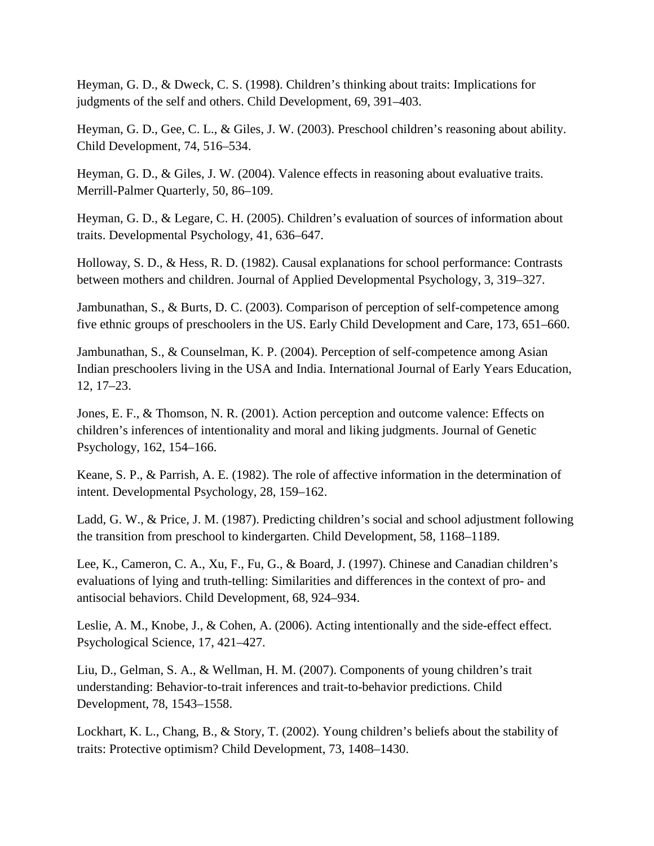Heyman, G. D., & Dweck, C. S. (1998). Children's thinking about traits: Implications for judgments of the self and others. Child Development, 69, 391–403.

Heyman, G. D., Gee, C. L., & Giles, J. W. (2003). Preschool children's reasoning about ability. Child Development, 74, 516–534.

Heyman, G. D., & Giles, J. W. (2004). Valence effects in reasoning about evaluative traits. Merrill-Palmer Quarterly, 50, 86–109.

Heyman, G. D., & Legare, C. H. (2005). Children's evaluation of sources of information about traits. Developmental Psychology, 41, 636–647.

Holloway, S. D., & Hess, R. D. (1982). Causal explanations for school performance: Contrasts between mothers and children. Journal of Applied Developmental Psychology, 3, 319–327.

Jambunathan, S., & Burts, D. C. (2003). Comparison of perception of self-competence among five ethnic groups of preschoolers in the US. Early Child Development and Care, 173, 651–660.

Jambunathan, S., & Counselman, K. P. (2004). Perception of self-competence among Asian Indian preschoolers living in the USA and India. International Journal of Early Years Education, 12, 17–23.

Jones, E. F., & Thomson, N. R. (2001). Action perception and outcome valence: Effects on children's inferences of intentionality and moral and liking judgments. Journal of Genetic Psychology, 162, 154–166.

Keane, S. P., & Parrish, A. E. (1982). The role of affective information in the determination of intent. Developmental Psychology, 28, 159–162.

Ladd, G. W., & Price, J. M. (1987). Predicting children's social and school adjustment following the transition from preschool to kindergarten. Child Development, 58, 1168–1189.

Lee, K., Cameron, C. A., Xu, F., Fu, G., & Board, J. (1997). Chinese and Canadian children's evaluations of lying and truth-telling: Similarities and differences in the context of pro- and antisocial behaviors. Child Development, 68, 924–934.

Leslie, A. M., Knobe, J., & Cohen, A. (2006). Acting intentionally and the side-effect effect. Psychological Science, 17, 421–427.

Liu, D., Gelman, S. A., & Wellman, H. M. (2007). Components of young children's trait understanding: Behavior-to-trait inferences and trait-to-behavior predictions. Child Development, 78, 1543–1558.

Lockhart, K. L., Chang, B., & Story, T. (2002). Young children's beliefs about the stability of traits: Protective optimism? Child Development, 73, 1408–1430.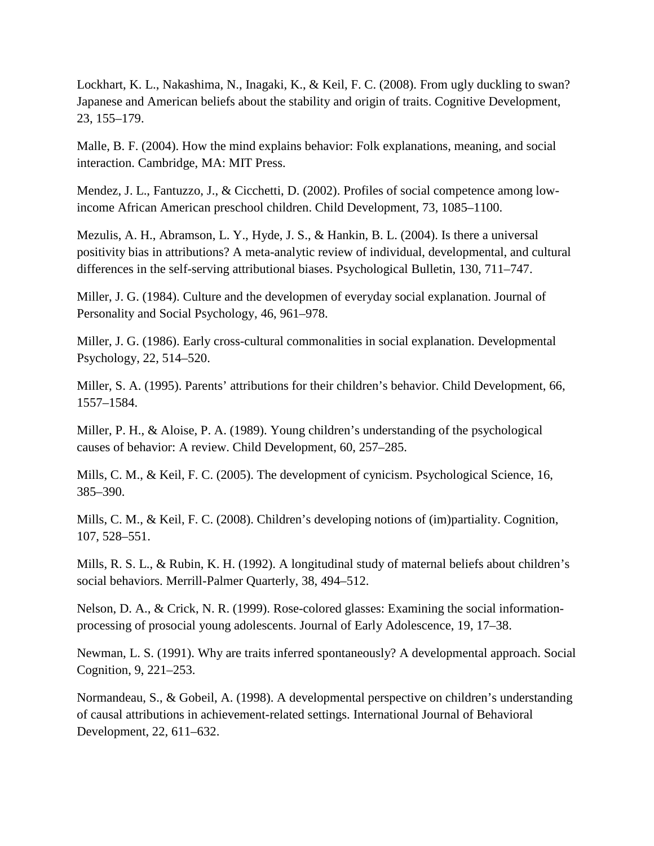Lockhart, K. L., Nakashima, N., Inagaki, K., & Keil, F. C. (2008). From ugly duckling to swan? Japanese and American beliefs about the stability and origin of traits. Cognitive Development, 23, 155–179.

Malle, B. F. (2004). How the mind explains behavior: Folk explanations, meaning, and social interaction. Cambridge, MA: MIT Press.

Mendez, J. L., Fantuzzo, J., & Cicchetti, D. (2002). Profiles of social competence among lowincome African American preschool children. Child Development, 73, 1085–1100.

Mezulis, A. H., Abramson, L. Y., Hyde, J. S., & Hankin, B. L. (2004). Is there a universal positivity bias in attributions? A meta-analytic review of individual, developmental, and cultural differences in the self-serving attributional biases. Psychological Bulletin, 130, 711–747.

Miller, J. G. (1984). Culture and the developmen of everyday social explanation. Journal of Personality and Social Psychology, 46, 961–978.

Miller, J. G. (1986). Early cross-cultural commonalities in social explanation. Developmental Psychology, 22, 514–520.

Miller, S. A. (1995). Parents' attributions for their children's behavior. Child Development, 66, 1557–1584.

Miller, P. H., & Aloise, P. A. (1989). Young children's understanding of the psychological causes of behavior: A review. Child Development, 60, 257–285.

Mills, C. M., & Keil, F. C. (2005). The development of cynicism. Psychological Science, 16, 385–390.

Mills, C. M., & Keil, F. C. (2008). Children's developing notions of (im)partiality. Cognition, 107, 528–551.

Mills, R. S. L., & Rubin, K. H. (1992). A longitudinal study of maternal beliefs about children's social behaviors. Merrill-Palmer Quarterly, 38, 494–512.

Nelson, D. A., & Crick, N. R. (1999). Rose-colored glasses: Examining the social informationprocessing of prosocial young adolescents. Journal of Early Adolescence, 19, 17–38.

Newman, L. S. (1991). Why are traits inferred spontaneously? A developmental approach. Social Cognition, 9, 221–253.

Normandeau, S., & Gobeil, A. (1998). A developmental perspective on children's understanding of causal attributions in achievement-related settings. International Journal of Behavioral Development, 22, 611–632.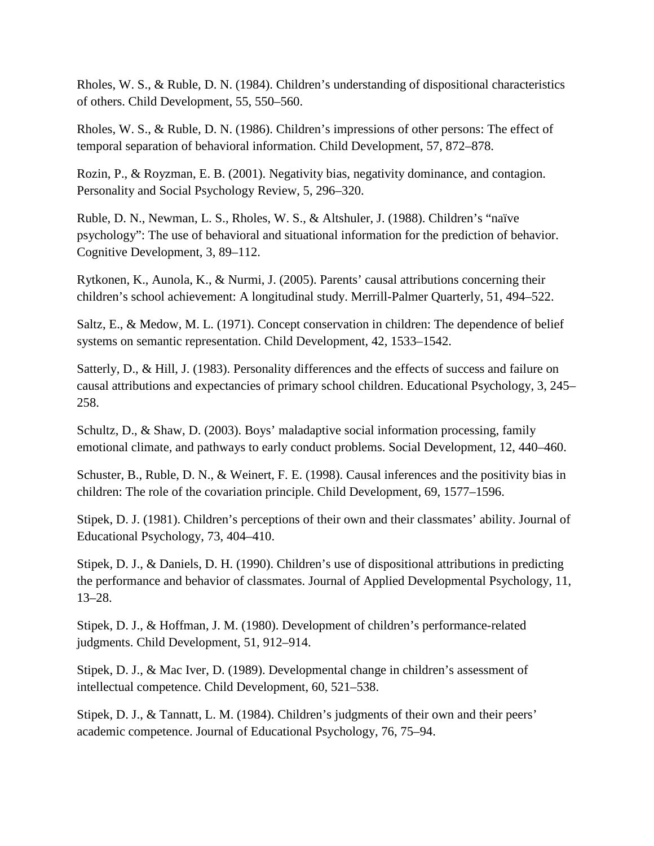Rholes, W. S., & Ruble, D. N. (1984). Children's understanding of dispositional characteristics of others. Child Development, 55, 550–560.

Rholes, W. S., & Ruble, D. N. (1986). Children's impressions of other persons: The effect of temporal separation of behavioral information. Child Development, 57, 872–878.

Rozin, P., & Royzman, E. B. (2001). Negativity bias, negativity dominance, and contagion. Personality and Social Psychology Review, 5, 296–320.

Ruble, D. N., Newman, L. S., Rholes, W. S., & Altshuler, J. (1988). Children's "naïve psychology": The use of behavioral and situational information for the prediction of behavior. Cognitive Development, 3, 89–112.

Rytkonen, K., Aunola, K., & Nurmi, J. (2005). Parents' causal attributions concerning their children's school achievement: A longitudinal study. Merrill-Palmer Quarterly, 51, 494–522.

Saltz, E., & Medow, M. L. (1971). Concept conservation in children: The dependence of belief systems on semantic representation. Child Development, 42, 1533–1542.

Satterly, D., & Hill, J. (1983). Personality differences and the effects of success and failure on causal attributions and expectancies of primary school children. Educational Psychology, 3, 245– 258.

Schultz, D., & Shaw, D. (2003). Boys' maladaptive social information processing, family emotional climate, and pathways to early conduct problems. Social Development, 12, 440–460.

Schuster, B., Ruble, D. N., & Weinert, F. E. (1998). Causal inferences and the positivity bias in children: The role of the covariation principle. Child Development, 69, 1577–1596.

Stipek, D. J. (1981). Children's perceptions of their own and their classmates' ability. Journal of Educational Psychology, 73, 404–410.

Stipek, D. J., & Daniels, D. H. (1990). Children's use of dispositional attributions in predicting the performance and behavior of classmates. Journal of Applied Developmental Psychology, 11, 13–28.

Stipek, D. J., & Hoffman, J. M. (1980). Development of children's performance-related judgments. Child Development, 51, 912–914.

Stipek, D. J., & Mac Iver, D. (1989). Developmental change in children's assessment of intellectual competence. Child Development, 60, 521–538.

Stipek, D. J., & Tannatt, L. M. (1984). Children's judgments of their own and their peers' academic competence. Journal of Educational Psychology, 76, 75–94.